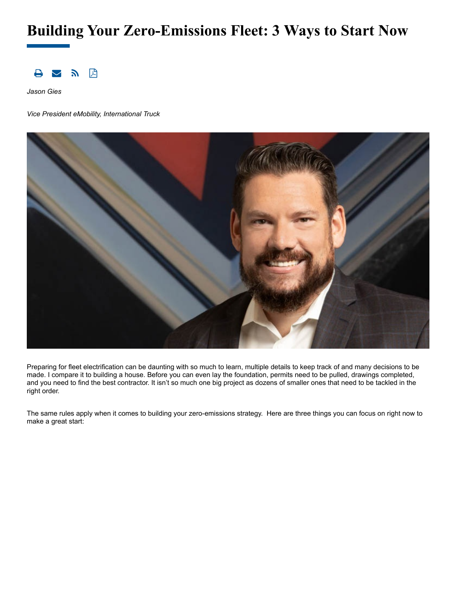# **Building Your Zero-Emissions Fleet: 3 Ways to Start Now**



*Jason Gies*

*Vice President eMobility, International Truck*



Preparing for fleet electrification can be daunting with so much to learn, multiple details to keep track of and many decisions to be made. I compare it to building a house. Before you can even lay the foundation, permits need to be pulled, drawings completed, and you need to find the best contractor. It isn't so much one big project as dozens of smaller ones that need to be tackled in the right order.

The same rules apply when it comes to building your zero-emissions strategy. Here are three things you can focus on right now to make a great start: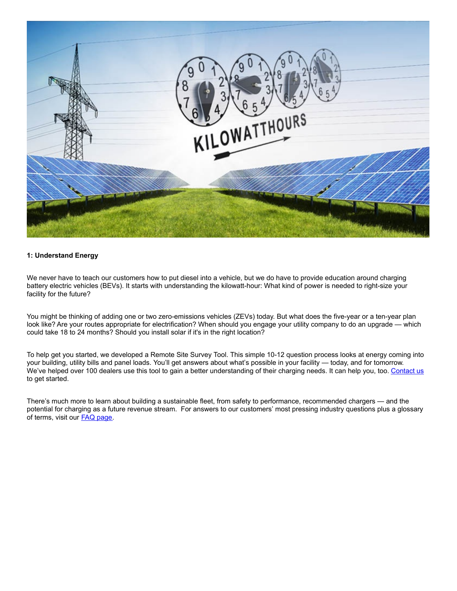

#### **1: Understand Energy**

We never have to teach our customers how to put diesel into a vehicle, but we do have to provide education around charging battery electric vehicles (BEVs). It starts with understanding the kilowatt-hour: What kind of power is needed to right-size your facility for the future?

You might be thinking of adding one or two zero-emissions vehicles (ZEVs) today. But what does the five-year or a ten-year plan look like? Are your routes appropriate for electrification? When should you engage your utility company to do an upgrade — which could take 18 to 24 months? Should you install solar if it's in the right location?

To help get you started, we developed a Remote Site Survey Tool. This simple 10-12 question process looks at energy coming into your building, utility bills and panel loads. You'll get answers about what's possible in your facility — today, and for tomorrow. We've helped over 100 dealers use this tool to gain a better understanding of their charging needs. It can help you, too. [Contact](https://www.navistar.com/our-path-forward/zero-emissions/next-contact) us to get started.

There's much more to learn about building a sustainable fleet, from safety to performance, recommended chargers — and the potential for charging as a future revenue stream. For answers to our customers' most pressing industry questions plus a glossary of terms, visit our FAQ [page](https://www.navistar.com/our-path-forward/zero-emissions/next-faqs).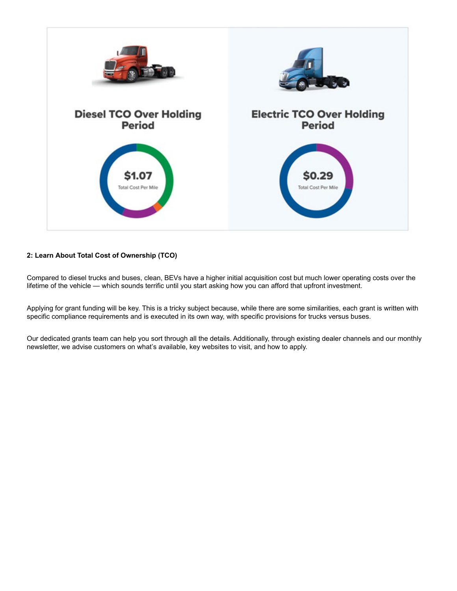

# **2: Learn About Total Cost of Ownership (TCO)**

Compared to diesel trucks and buses, clean, BEVs have a higher initial acquisition cost but much lower operating costs over the lifetime of the vehicle — which sounds terrific until you start asking how you can afford that upfront investment.

Applying for grant funding will be key. This is a tricky subject because, while there are some similarities, each grant is written with specific compliance requirements and is executed in its own way, with specific provisions for trucks versus buses.

Our dedicated grants team can help you sort through all the details. Additionally, through existing dealer channels and our monthly newsletter, we advise customers on what's available, key websites to visit, and how to apply.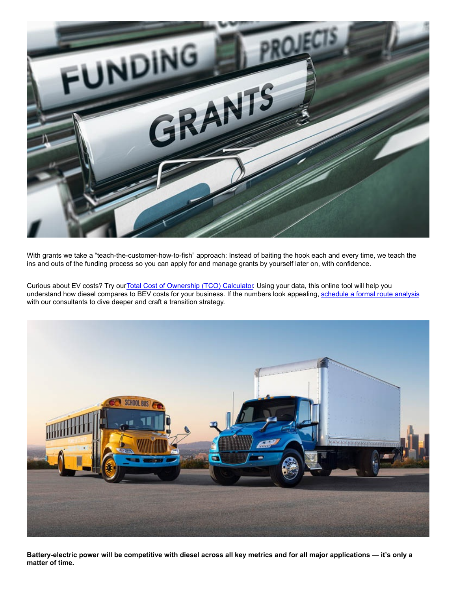

With grants we take a "teach-the-customer-how-to-fish" approach: Instead of baiting the hook each and every time, we teach the ins and outs of the funding process so you can apply for and manage grants by yourself later on, with confidence.

Curious about EV costs? Try our Total Cost of [Ownership](https://www.navistar.com/our-path-forward/next/operating-cost-calculator) (TCO) Calculator. Using your data, this online tool will help you understand how diesel compares to BEV costs for your business. If the numbers look appealing, [schedule](https://www.navistar.com/our-path-forward/zero-emissions/next-contact) a formal route analysis with our consultants to dive deeper and craft a transition strategy.



Battery-electric power will be competitive with diesel across all key metrics and for all major applications — it's only a **matter of time.**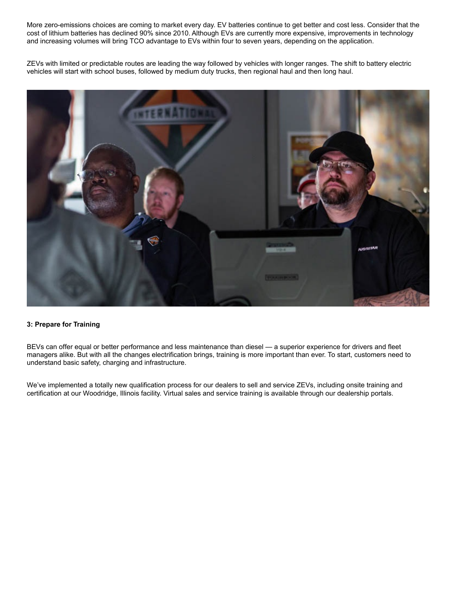More zero-emissions choices are coming to market every day. EV batteries continue to get better and cost less. Consider that the cost of lithium batteries has declined 90% since 2010. Although EVs are currently more expensive, improvements in technology and increasing volumes will bring TCO advantage to EVs within four to seven years, depending on the application.

ZEVs with limited or predictable routes are leading the way followed by vehicles with longer ranges. The shift to battery electric vehicles will start with school buses, followed by medium duty trucks, then regional haul and then long haul.



## **3: Prepare for Training**

BEVs can offer equal or better performance and less maintenance than diesel — a superior experience for drivers and fleet managers alike. But with all the changes electrification brings, training is more important than ever. To start, customers need to understand basic safety, charging and infrastructure.

We've implemented a totally new qualification process for our dealers to sell and service ZEVs, including onsite training and certification at our Woodridge, Illinois facility. Virtual sales and service training is available through our dealership portals.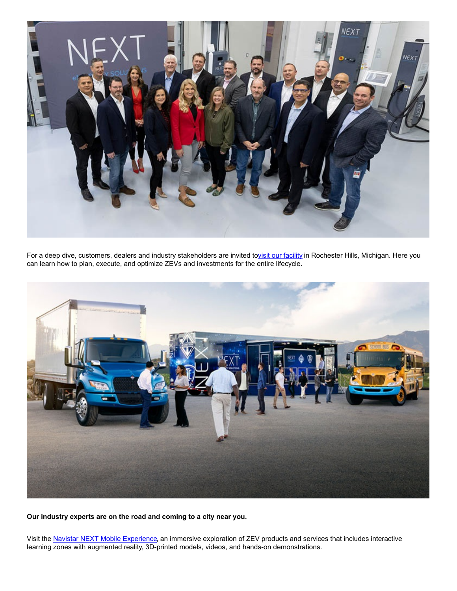

For a deep dive, customers, dealers and industry stakeholders are invited tovisit our [facility](https://www.navistar.com/our-path-forward/zero-emissions/next-contact) in Rochester Hills, Michigan. Here you can learn how to plan, execute, and optimize ZEVs and investments for the entire lifecycle.



**Our industry experts are on the road and coming to a city near you.**

Visit the **Navistar NEXT Mobile [Experience](https://www.navistar.com/our-path-forward/zero-emissions/next-mobile-experience)**, an immersive exploration of ZEV products and services that includes interactive learning zones with augmented reality, 3D-printed models, videos, and hands-on demonstrations.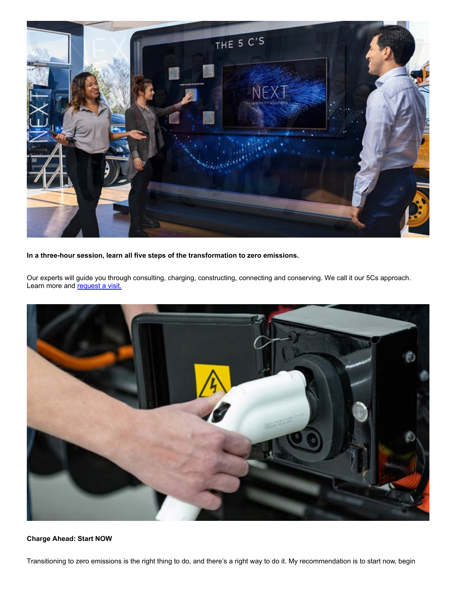

**In a three-hour session, learn all five steps of the transformation to zero emissions.**

Our experts will guide you through consulting, charging, constructing, connecting and conserving. We call it our 5Cs approach. Learn more and [request](https://www.navistar.com/our-path-forward/zero-emissions/next-contact) a visit.



### **Charge Ahead: Start NOW**

Transitioning to zero emissions is the right thing to do, and there's a right way to do it. My recommendation is to start now, begin